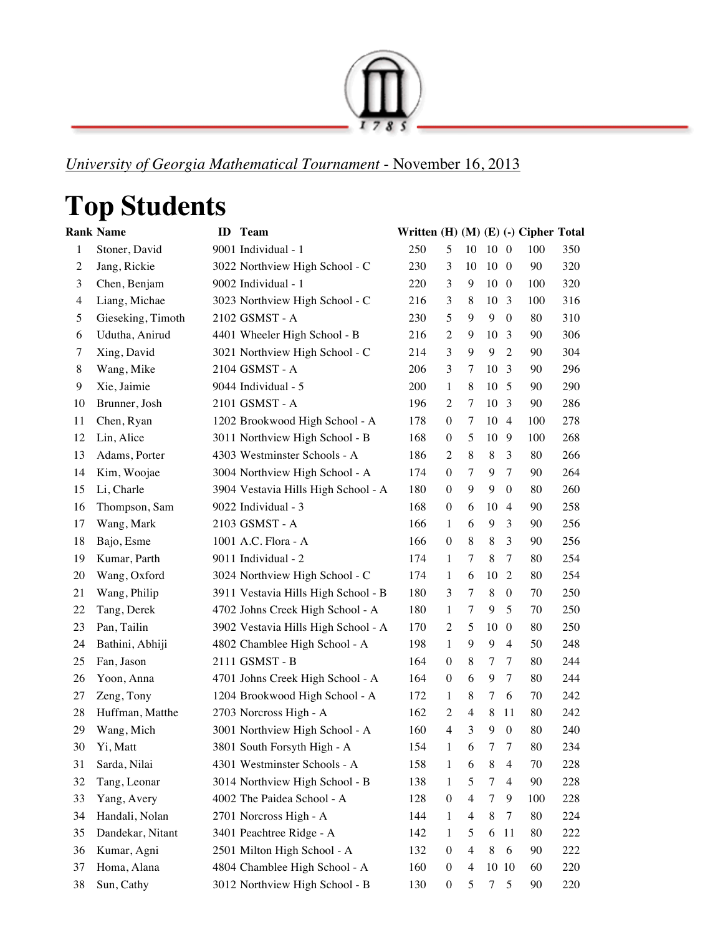

*University of Georgia Mathematical Tournament* - November 16, 2013

## **Top Students**

|                | <b>Rank Name</b>  | ID | Team                                | Written (H) (M) (E) (-) Cipher Total |                  |                |                |                  |              |     |
|----------------|-------------------|----|-------------------------------------|--------------------------------------|------------------|----------------|----------------|------------------|--------------|-----|
| 1              | Stoner, David     |    | 9001 Individual - 1                 | 250                                  | 5                | 10             | 10 0           |                  | 100          | 350 |
| $\overline{c}$ | Jang, Rickie      |    | 3022 Northview High School - C      | 230                                  | 3                | 10             | $10\quad0$     |                  | 90           | 320 |
| 3              | Chen, Benjam      |    | 9002 Individual - 1                 | 220                                  | 3                | 9              | $10\quad0$     |                  | 100          | 320 |
| 4              | Liang, Michae     |    | 3023 Northview High School - C      | 216                                  | 3                | 8              | 10             | -3               | 100          | 316 |
| 5              | Gieseking, Timoth |    | 2102 GSMST - A                      | 230                                  | 5                | 9              | 9              | $\overline{0}$   | 80           | 310 |
| 6              | Udutha, Anirud    |    | 4401 Wheeler High School - B        | 216                                  | 2                | 9              | 10             | -3               | 90           | 306 |
| 7              | Xing, David       |    | 3021 Northview High School - C      | 214                                  | 3                | 9              | 9              | $\overline{2}$   | 90           | 304 |
| 8              | Wang, Mike        |    | 2104 GSMST - A                      | 206                                  | 3                | 7              | 10             | -3               | 90           | 296 |
| 9              | Xie, Jaimie       |    | 9044 Individual - 5                 | 200                                  | 1                | 8              | 10             | -5               | 90           | 290 |
| 10             | Brunner, Josh     |    | 2101 GSMST - A                      | 196                                  | 2                | 7              | 10             | -3               | 90           | 286 |
| 11             | Chen, Ryan        |    | 1202 Brookwood High School - A      | 178                                  | $\overline{0}$   | 7              | 10             | -4               | 100          | 278 |
| 12             | Lin, Alice        |    | 3011 Northview High School - B      | 168                                  | $\theta$         | 5              | 10             | 9                | 100          | 268 |
| 13             | Adams, Porter     |    | 4303 Westminster Schools - A        | 186                                  | 2                | 8              | 8              | 3                | 80           | 266 |
| 14             | Kim, Woojae       |    | 3004 Northview High School - A      | 174                                  | $\theta$         | 7              | 9              | 7                | 90           | 264 |
| 15             | Li, Charle        |    | 3904 Vestavia Hills High School - A | 180                                  | $\theta$         | 9              | 9              | $\mathbf{0}$     | 80           | 260 |
| 16             | Thompson, Sam     |    | 9022 Individual - 3                 | 168                                  | $\theta$         | 6              | 10             | $\overline{4}$   | 90           | 258 |
| 17             | Wang, Mark        |    | 2103 GSMST - A                      | 166                                  | 1                | 6              | 9              | 3                | 90           | 256 |
| 18             | Bajo, Esme        |    | 1001 A.C. Flora - A                 | 166                                  | $\theta$         | 8              | 8              | 3                | 90           | 256 |
| 19             | Kumar, Parth      |    | 9011 Individual - 2                 | 174                                  | 1                | 7              | 8              | 7                | 80           | 254 |
| 20             | Wang, Oxford      |    | 3024 Northview High School - C      | 174                                  | 1                | 6              | 10             | 2                | 80           | 254 |
| 21             | Wang, Philip      |    | 3911 Vestavia Hills High School - B | 180                                  | 3                | 7              | 8              | $\mathbf{0}$     | 70           | 250 |
| 22             | Tang, Derek       |    | 4702 Johns Creek High School - A    | 180                                  | 1                | 7              | 9              | 5                | 70           | 250 |
| 23             | Pan, Tailin       |    | 3902 Vestavia Hills High School - A | 170                                  | 2                | 5              | 10             | $\boldsymbol{0}$ | 80           | 250 |
| 24             | Bathini, Abhiji   |    | 4802 Chamblee High School - A       | 198                                  | 1                | 9              | 9              | $\overline{4}$   | 50           | 248 |
| 25             | Fan, Jason        |    | 2111 GSMST - B                      | 164                                  | $\theta$         | 8              | 7              | 7                | 80           | 244 |
| 26             | Yoon, Anna        |    | 4701 Johns Creek High School - A    | 164                                  | $\overline{0}$   | 6              | 9              | 7                | 80           | 244 |
| 27             | Zeng, Tony        |    | 1204 Brookwood High School - A      | 172                                  | 1                | 8              | 7              | 6                | 70           | 242 |
| 28             | Huffman, Matthe   |    | 2703 Norcross High - A              | 162                                  | 2                | 4              | 8              | 11               | 80           | 242 |
| 29             | Wang, Mich        |    | 3001 Northview High School - A      | 160                                  | 4                | 3              | 9              | $\overline{0}$   | 80           | 240 |
| 30             | Yi, Matt          |    | 3801 South Forsyth High - A         | 154                                  | 1                | 6              | 7              | 7                | 80           | 234 |
| 31             | Sarda, Nilai      |    | 4301 Westminster Schools - A        | 158                                  | 1                | 6              | 8              | $\overline{4}$   | 70           | 228 |
| 32             | Tang, Leonar      |    | 3014 Northview High School - B      | 138                                  | 1                | 5              | 7              | 4                | $90\text{ }$ | 228 |
| 33             | Yang, Avery       |    | 4002 The Paidea School - A          | 128                                  | $\boldsymbol{0}$ | $\overline{4}$ | 7              | 9                | 100          | 228 |
| 34             | Handali, Nolan    |    | 2701 Norcross High - A              | 144                                  | 1                | $\overline{4}$ | 8              | 7                | 80           | 224 |
| 35             | Dandekar, Nitant  |    | 3401 Peachtree Ridge - A            | 142                                  | $\mathbf{1}$     | 5              | 6              | 11               | 80           | 222 |
| 36             | Kumar, Agni       |    | 2501 Milton High School - A         | 132                                  | $\boldsymbol{0}$ | $\overline{4}$ | 8              | 6                | 90           | 222 |
| 37             | Homa, Alana       |    | 4804 Chamblee High School - A       | 160                                  | $\boldsymbol{0}$ | 4              | 10 10          |                  | 60           | 220 |
| 38             | Sun, Cathy        |    | 3012 Northview High School - B      | 130                                  | 0                | 5              | 7 <sub>5</sub> |                  | 90           | 220 |